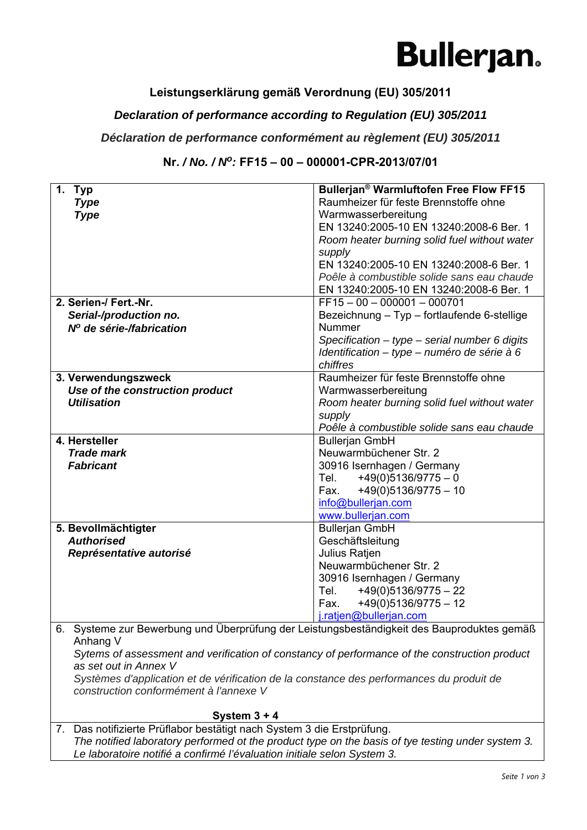## **Bullerjan.**

### **Leistungserklärung gemäß Verordnung (EU) 305/2011**

### *Declaration of performance according to Regulation (EU) 305/2011*

#### *Déclaration de performance conformément au règlement (EU) 305/2011*

#### **Nr.** */ No. / No:* **FF15 – 00 – 000001-CPR-2013/07/01**

| 1. Typ                                                                                                                             | Bullerjan <sup>®</sup> Warmluftofen Free Flow FF15 |  |
|------------------------------------------------------------------------------------------------------------------------------------|----------------------------------------------------|--|
| <b>Type</b>                                                                                                                        | Raumheizer für feste Brennstoffe ohne              |  |
| <b>Type</b>                                                                                                                        | Warmwasserbereitung                                |  |
|                                                                                                                                    | EN 13240:2005-10 EN 13240:2008-6 Ber. 1            |  |
|                                                                                                                                    | Room heater burning solid fuel without water       |  |
|                                                                                                                                    | supply                                             |  |
|                                                                                                                                    | EN 13240:2005-10 EN 13240:2008-6 Ber. 1            |  |
|                                                                                                                                    | Poêle à combustible solide sans eau chaude         |  |
|                                                                                                                                    | EN 13240:2005-10 EN 13240:2008-6 Ber. 1            |  |
| 2. Serien-/ Fert.-Nr.                                                                                                              | $FF15 - 00 - 000001 - 000701$                      |  |
| Serial-/production no.                                                                                                             | Bezeichnung - Typ - fortlaufende 6-stellige        |  |
| Nº de série-/fabrication                                                                                                           | Nummer                                             |  |
|                                                                                                                                    | Specification $-$ type $-$ serial number 6 digits  |  |
|                                                                                                                                    | Identification - type - numéro de série à 6        |  |
|                                                                                                                                    | chiffres                                           |  |
| 3. Verwendungszweck                                                                                                                | Raumheizer für feste Brennstoffe ohne              |  |
| Use of the construction product                                                                                                    | Warmwasserbereitung                                |  |
| <b>Utilisation</b>                                                                                                                 | Room heater burning solid fuel without water       |  |
|                                                                                                                                    | supply                                             |  |
|                                                                                                                                    | Poêle à combustible solide sans eau chaude         |  |
| 4. Hersteller                                                                                                                      | <b>Bullerjan GmbH</b>                              |  |
| <b>Trade mark</b>                                                                                                                  | Neuwarmbüchener Str. 2                             |  |
| <b>Fabricant</b>                                                                                                                   | 30916 Isernhagen / Germany                         |  |
|                                                                                                                                    | Tel. $+49(0)5136/9775-0$                           |  |
|                                                                                                                                    | +49(0)5136/9775 - 10<br>Fax.                       |  |
|                                                                                                                                    | info@bullerjan.com                                 |  |
|                                                                                                                                    | www.bullerjan.com                                  |  |
| 5. Bevollmächtigter                                                                                                                | <b>Bullerjan GmbH</b>                              |  |
| <b>Authorised</b>                                                                                                                  | Geschäftsleitung                                   |  |
| Représentative autorisé                                                                                                            | Julius Ratjen                                      |  |
|                                                                                                                                    | Neuwarmbüchener Str. 2                             |  |
|                                                                                                                                    | 30916 Isernhagen / Germany                         |  |
|                                                                                                                                    | $+49(0)5136/9775 - 22$<br>Tel.                     |  |
|                                                                                                                                    | $+49(0)5136/9775 - 12$<br>Fax.                     |  |
|                                                                                                                                    | j.ratjen@bullerjan.com                             |  |
| 6. Systeme zur Bewerbung und Überprüfung der Leistungsbeständigkeit des Bauproduktes gemäß<br>Anhang V                             |                                                    |  |
|                                                                                                                                    |                                                    |  |
| Sytems of assessment and verification of constancy of performance of the construction product                                      |                                                    |  |
| as set out in Annex V                                                                                                              |                                                    |  |
| Systèmes d'application et de vérification de la constance des performances du produit de<br>construction conformément à l'annexe V |                                                    |  |
|                                                                                                                                    |                                                    |  |
| System $3 + 4$                                                                                                                     |                                                    |  |
| 7. Das notifizierte Prüflabor bestätigt nach System 3 die Erstprüfung.                                                             |                                                    |  |

*The notified laboratory performed ot the product type on the basis of tye testing under system 3. Le laboratoire notifié a confirmé l'évaluation initiale selon System 3.*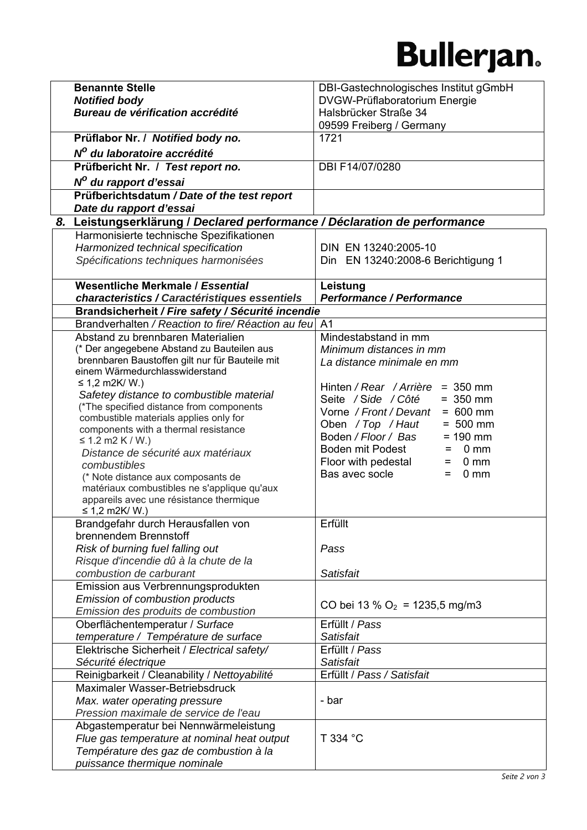# **Bullerjan.**

| <b>Benannte Stelle</b>                                                              | DBI-Gastechnologisches Institut gGmbH                  |
|-------------------------------------------------------------------------------------|--------------------------------------------------------|
| <b>Notified body</b>                                                                | DVGW-Prüflaboratorium Energie                          |
| Bureau de vérification accrédité                                                    | Halsbrücker Straße 34                                  |
|                                                                                     | 09599 Freiberg / Germany                               |
| Prüflabor Nr. / Notified body no.                                                   | 1721                                                   |
| Nº du laboratoire accrédité                                                         |                                                        |
| Prüfbericht Nr. / Test report no.                                                   | DBI F14/07/0280                                        |
| N <sup>o</sup> du rapport d'essai                                                   |                                                        |
| Prüfberichtsdatum / Date of the test report                                         |                                                        |
| Date du rapport d'essai                                                             |                                                        |
| 8. Leistungserklärung / Declared performance / Déclaration de performance           |                                                        |
| Harmonisierte technische Spezifikationen                                            |                                                        |
| Harmonized technical specification                                                  | DIN EN 13240:2005-10                                   |
| Spécifications techniques harmonisées                                               | Din EN 13240:2008-6 Berichtigung 1                     |
|                                                                                     |                                                        |
| Wesentliche Merkmale / Essential                                                    | Leistung                                               |
| characteristics / Caractéristiques essentiels                                       | <b>Performance / Performance</b>                       |
| Brandsicherheit / Fire safety / Sécurité incendie                                   |                                                        |
| Brandverhalten / Reaction to fire/ Réaction au feu                                  | A <sub>1</sub>                                         |
| Abstand zu brennbaren Materialien                                                   | Mindestabstand in mm                                   |
| (* Der angegebene Abstand zu Bauteilen aus                                          | Minimum distances in mm                                |
| brennbaren Baustoffen gilt nur für Bauteile mit<br>einem Wärmedurchlasswiderstand   | La distance minimale en mm                             |
| ≤ 1,2 m2K/ W.)                                                                      |                                                        |
| Safetey distance to combustible material                                            | Hinten / Rear / Arrière = 350 mm                       |
| (*The specified distance from components                                            | Seite / Side / Côté<br>$= 350$ mm<br>$= 600$ mm        |
| combustible materials applies only for                                              | Vorne / Front / Devant<br>$= 500$ mm                   |
| components with a thermal resistance                                                | Oben / Top / Haut<br>Boden / Floor / Bas<br>$= 190$ mm |
| ≤ 1.2 m2 K / W.)                                                                    | Boden mit Podest<br>0 <sub>mm</sub><br>=               |
| Distance de sécurité aux matériaux                                                  | Floor with pedestal<br>0 <sub>mm</sub><br>$=$          |
| combustibles                                                                        | Bas avec socle<br>0 <sub>mm</sub><br>$=$               |
| (* Note distance aux composants de<br>matériaux combustibles ne s'applique qu'aux   |                                                        |
| appareils avec une résistance thermique                                             |                                                        |
| ≤ 1,2 m2K/ W.)                                                                      |                                                        |
| Brandgefahr durch Herausfallen von                                                  | Erfüllt                                                |
| brennendem Brennstoff                                                               |                                                        |
| Risk of burning fuel falling out                                                    | Pass                                                   |
| Risque d'incendie dû à la chute de la                                               |                                                        |
| combustion de carburant                                                             | Satisfait                                              |
| Emission aus Verbrennungsprodukten                                                  |                                                        |
| Emission of combustion products                                                     | CO bei 13 % $O_2$ = 1235,5 mg/m3                       |
| Emission des produits de combustion                                                 |                                                        |
| Oberflächentemperatur / Surface                                                     | Erfüllt / Pass<br>Satisfait                            |
| temperature / Température de surface<br>Elektrische Sicherheit / Electrical safety/ | Erfüllt / Pass                                         |
| Sécurité électrique                                                                 | Satisfait                                              |
| Reinigbarkeit / Cleanability / Nettoyabilité                                        | Erfüllt / Pass / Satisfait                             |
| Maximaler Wasser-Betriebsdruck                                                      |                                                        |
| Max. water operating pressure                                                       | - bar                                                  |
| Pression maximale de service de l'eau                                               |                                                        |
| Abgastemperatur bei Nennwärmeleistung                                               |                                                        |
| Flue gas temperature at nominal heat output                                         | T 334 °C                                               |
| Température des gaz de combustion à la                                              |                                                        |
| puissance thermique nominale                                                        |                                                        |